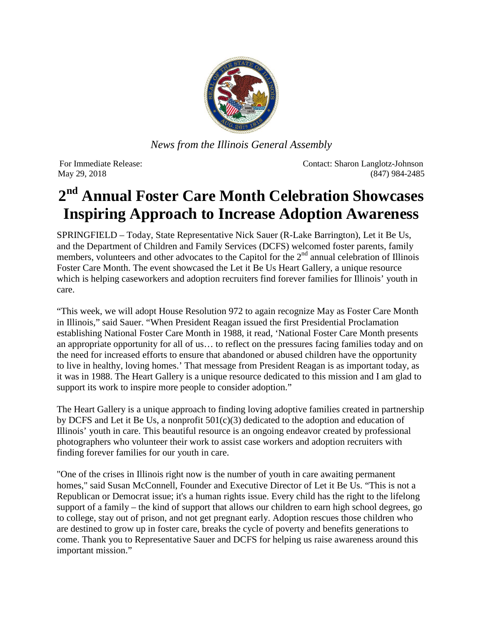

*News from the Illinois General Assembly*

For Immediate Release: Contact: Sharon Langlotz-Johnson May 29, 2018 (847) 984-2485

## **2nd Annual Foster Care Month Celebration Showcases Inspiring Approach to Increase Adoption Awareness**

SPRINGFIELD – Today, State Representative Nick Sauer (R-Lake Barrington), Let it Be Us, and the Department of Children and Family Services (DCFS) welcomed foster parents, family members, volunteers and other advocates to the Capitol for the  $2<sup>nd</sup>$  annual celebration of Illinois Foster Care Month. The event showcased the Let it Be Us Heart Gallery, a unique resource which is helping caseworkers and adoption recruiters find forever families for Illinois' youth in care.

"This week, we will adopt House Resolution 972 to again recognize May as Foster Care Month in Illinois," said Sauer. "When President Reagan issued the first Presidential Proclamation establishing National Foster Care Month in 1988, it read, 'National Foster Care Month presents an appropriate opportunity for all of us… to reflect on the pressures facing families today and on the need for increased efforts to ensure that abandoned or abused children have the opportunity to live in healthy, loving homes.' That message from President Reagan is as important today, as it was in 1988. The Heart Gallery is a unique resource dedicated to this mission and I am glad to support its work to inspire more people to consider adoption."

The Heart Gallery is a unique approach to finding loving adoptive families created in partnership by DCFS and Let it Be Us, a nonprofit 501(c)(3) dedicated to the adoption and education of Illinois' youth in care. This beautiful resource is an ongoing endeavor created by professional photographers who volunteer their work to assist case workers and adoption recruiters with finding forever families for our youth in care.

"One of the crises in Illinois right now is the number of youth in care awaiting permanent homes," said Susan McConnell, Founder and Executive Director of Let it Be Us. "This is not a Republican or Democrat issue; it's a human rights issue. Every child has the right to the lifelong support of a family – the kind of support that allows our children to earn high school degrees, go to college, stay out of prison, and not get pregnant early. Adoption rescues those children who are destined to grow up in foster care, breaks the cycle of poverty and benefits generations to come. Thank you to Representative Sauer and DCFS for helping us raise awareness around this important mission."